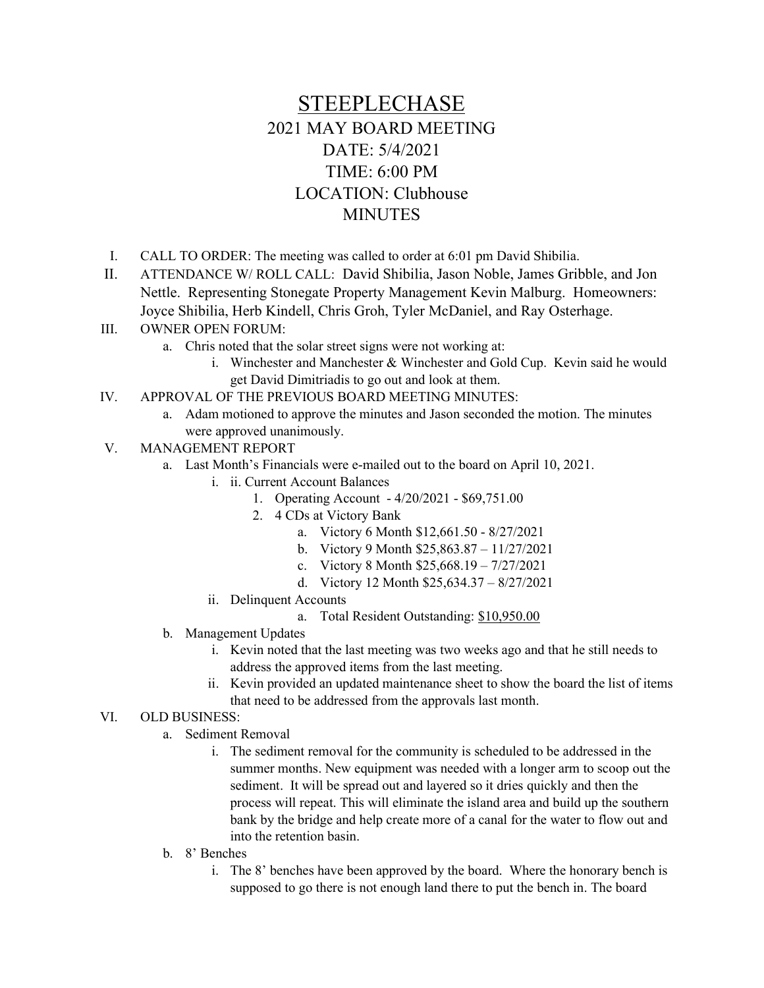## STEEPLECHASE 2021 MAY BOARD MEETING DATE: 5/4/2021 TIME: 6:00 PM LOCATION: Clubhouse **MINUTES**

- I. CALL TO ORDER: The meeting was called to order at 6:01 pm David Shibilia.
- II. ATTENDANCE W/ ROLL CALL: David Shibilia, Jason Noble, James Gribble, and Jon Nettle. Representing Stonegate Property Management Kevin Malburg. Homeowners: Joyce Shibilia, Herb Kindell, Chris Groh, Tyler McDaniel, and Ray Osterhage.
- III. OWNER OPEN FORUM:
	- a. Chris noted that the solar street signs were not working at:
		- i. Winchester and Manchester & Winchester and Gold Cup. Kevin said he would get David Dimitriadis to go out and look at them.
- IV. APPROVAL OF THE PREVIOUS BOARD MEETING MINUTES:
	- a. Adam motioned to approve the minutes and Jason seconded the motion. The minutes were approved unanimously.
- V. MANAGEMENT REPORT
	- a. Last Month's Financials were e-mailed out to the board on April 10, 2021.
		- i. ii. Current Account Balances
			- 1. Operating Account 4/20/2021 \$69,751.00
			- 2. 4 CDs at Victory Bank
				- a. Victory 6 Month \$12,661.50 8/27/2021
				- b. Victory 9 Month \$25,863.87 11/27/2021
				- c. Victory 8 Month \$25,668.19 7/27/2021
				- d. Victory 12 Month \$25,634.37 8/27/2021
		- ii. Delinquent Accounts
			- a. Total Resident Outstanding: \$10,950.00
	- b. Management Updates
		- i. Kevin noted that the last meeting was two weeks ago and that he still needs to address the approved items from the last meeting.
		- ii. Kevin provided an updated maintenance sheet to show the board the list of items that need to be addressed from the approvals last month.

## VI. OLD BUSINESS:

- a. Sediment Removal
	- i. The sediment removal for the community is scheduled to be addressed in the summer months. New equipment was needed with a longer arm to scoop out the sediment. It will be spread out and layered so it dries quickly and then the process will repeat. This will eliminate the island area and build up the southern bank by the bridge and help create more of a canal for the water to flow out and into the retention basin.
- b. 8' Benches
	- i. The 8' benches have been approved by the board. Where the honorary bench is supposed to go there is not enough land there to put the bench in. The board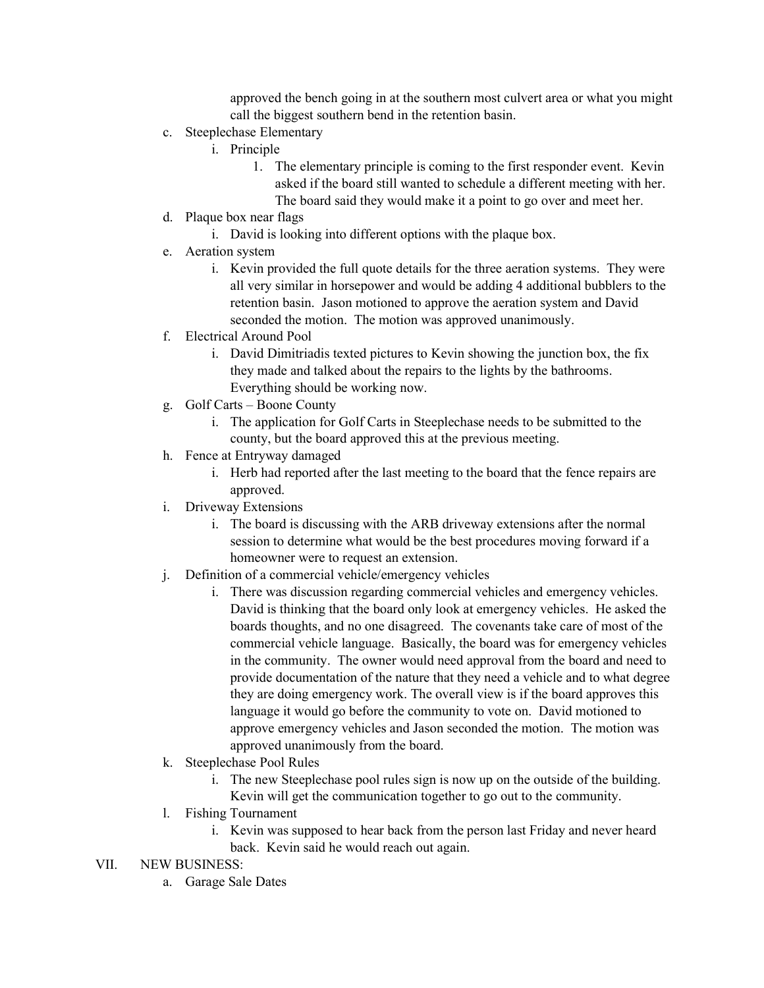approved the bench going in at the southern most culvert area or what you might call the biggest southern bend in the retention basin.

- c. Steeplechase Elementary
	- i. Principle
		- 1. The elementary principle is coming to the first responder event. Kevin asked if the board still wanted to schedule a different meeting with her. The board said they would make it a point to go over and meet her.
- d. Plaque box near flags
	- i. David is looking into different options with the plaque box.
- e. Aeration system
	- i. Kevin provided the full quote details for the three aeration systems. They were all very similar in horsepower and would be adding 4 additional bubblers to the retention basin. Jason motioned to approve the aeration system and David seconded the motion. The motion was approved unanimously.
- f. Electrical Around Pool
	- i. David Dimitriadis texted pictures to Kevin showing the junction box, the fix they made and talked about the repairs to the lights by the bathrooms. Everything should be working now.
- g. Golf Carts Boone County
	- i. The application for Golf Carts in Steeplechase needs to be submitted to the county, but the board approved this at the previous meeting.
- h. Fence at Entryway damaged
	- i. Herb had reported after the last meeting to the board that the fence repairs are approved.
- i. Driveway Extensions
	- i. The board is discussing with the ARB driveway extensions after the normal session to determine what would be the best procedures moving forward if a homeowner were to request an extension.
- j. Definition of a commercial vehicle/emergency vehicles
	- i. There was discussion regarding commercial vehicles and emergency vehicles. David is thinking that the board only look at emergency vehicles. He asked the boards thoughts, and no one disagreed. The covenants take care of most of the commercial vehicle language. Basically, the board was for emergency vehicles in the community. The owner would need approval from the board and need to provide documentation of the nature that they need a vehicle and to what degree they are doing emergency work. The overall view is if the board approves this language it would go before the community to vote on. David motioned to approve emergency vehicles and Jason seconded the motion. The motion was approved unanimously from the board.
- k. Steeplechase Pool Rules
	- i. The new Steeplechase pool rules sign is now up on the outside of the building. Kevin will get the communication together to go out to the community.
- l. Fishing Tournament
	- i. Kevin was supposed to hear back from the person last Friday and never heard back. Kevin said he would reach out again.
- VII. NEW BUSINESS:
	- a. Garage Sale Dates